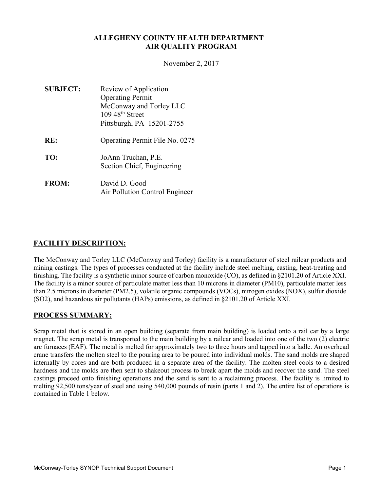# ALLEGHENY COUNTY HEALTH DEPARTMENT AIR QUALITY PROGRAM

November 2, 2017

SUBJECT: Review of Application Operating Permit McConway and Torley LLC  $109\,48$ <sup>th</sup> Street Pittsburgh, PA 15201-2755 RE: Operating Permit File No. 0275 TO: JoAnn Truchan, P.E. Section Chief, Engineering FROM: David D. Good Air Pollution Control Engineer

# FACILITY DESCRIPTION:

The McConway and Torley LLC (McConway and Torley) facility is a manufacturer of steel railcar products and mining castings. The types of processes conducted at the facility include steel melting, casting, heat-treating and finishing. The facility is a synthetic minor source of carbon monoxide (CO), as defined in §2101.20 of Article XXI. The facility is a minor source of particulate matter less than 10 microns in diameter (PM10), particulate matter less than 2.5 microns in diameter (PM2.5), volatile organic compounds (VOCs), nitrogen oxides (NOX), sulfur dioxide (SO2), and hazardous air pollutants (HAPs) emissions, as defined in §2101.20 of Article XXI.

# PROCESS SUMMARY:

Scrap metal that is stored in an open building (separate from main building) is loaded onto a rail car by a large magnet. The scrap metal is transported to the main building by a railcar and loaded into one of the two (2) electric arc furnaces (EAF). The metal is melted for approximately two to three hours and tapped into a ladle. An overhead crane transfers the molten steel to the pouring area to be poured into individual molds. The sand molds are shaped internally by cores and are both produced in a separate area of the facility. The molten steel cools to a desired hardness and the molds are then sent to shakeout process to break apart the molds and recover the sand. The steel castings proceed onto finishing operations and the sand is sent to a reclaiming process. The facility is limited to melting 92,500 tons/year of steel and using 540,000 pounds of resin (parts 1 and 2). The entire list of operations is contained in Table 1 below.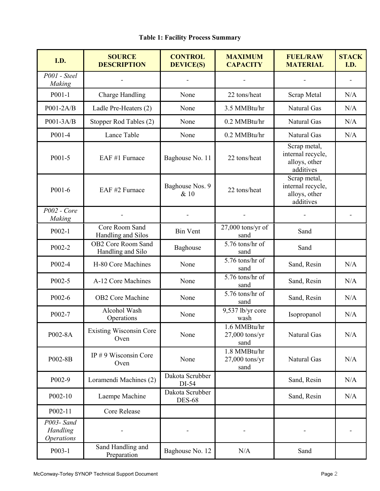| I.D.                                        | <b>SOURCE</b><br><b>DESCRIPTION</b>            | <b>CONTROL</b><br><b>DEVICE(S)</b> | <b>MAXIMUM</b><br><b>CAPACITY</b>        | <b>FUEL/RAW</b><br><b>MATERIAL</b>                              | <b>STACK</b><br>I.D. |
|---------------------------------------------|------------------------------------------------|------------------------------------|------------------------------------------|-----------------------------------------------------------------|----------------------|
| P001 - Steel<br>Making                      |                                                |                                    |                                          |                                                                 |                      |
| $P001-1$                                    | Charge Handling                                | None                               | 22 tons/heat                             | Scrap Metal                                                     | N/A                  |
| P001-2A/B                                   | Ladle Pre-Heaters (2)                          | None                               | 3.5 MMBtu/hr                             | Natural Gas                                                     | N/A                  |
| P001-3A/B                                   | Stopper Rod Tables (2)                         | None                               | 0.2 MMBtu/hr                             | Natural Gas                                                     | N/A                  |
| P001-4                                      | Lance Table                                    | None                               | 0.2 MMBtu/hr                             | Natural Gas                                                     | N/A                  |
| P001-5                                      | EAF #1 Furnace                                 | Baghouse No. 11                    | 22 tons/heat                             | Scrap metal,<br>internal recycle,<br>alloys, other<br>additives |                      |
| P001-6                                      | EAF #2 Furnace                                 | Baghouse Nos. 9<br>& 10            | 22 tons/heat                             | Scrap metal,<br>internal recycle,<br>alloys, other<br>additives |                      |
| $P002$ - Core<br>Making                     |                                                |                                    |                                          |                                                                 |                      |
| $P002-1$                                    | Core Room Sand<br>Handling and Silos           | <b>Bin Vent</b>                    | $27,000$ tons/yr of<br>sand              | Sand                                                            |                      |
| P002-2                                      | <b>OB2 Core Room Sand</b><br>Handling and Silo | Baghouse                           | 5.76 tons/hr of<br>sand                  | Sand                                                            |                      |
| P002-4                                      | H-80 Core Machines                             | None                               | 5.76 tons/hr of<br>sand                  | Sand, Resin                                                     | N/A                  |
| P002-5                                      | A-12 Core Machines                             | None                               | 5.76 tons/hr of<br>sand                  | Sand, Resin                                                     | N/A                  |
| P002-6                                      | <b>OB2</b> Core Machine                        | None                               | 5.76 tons/hr of<br>sand                  | Sand, Resin                                                     | N/A                  |
| P002-7                                      | Alcohol Wash<br>Operations                     | None                               | 9,537 lb/yr core<br>wash                 | Isopropanol                                                     | N/A                  |
| P002-8A                                     | <b>Existing Wisconsin Core</b><br>Oven         | None                               | 1.6 MMBtu/hr<br>$27,000$ tons/yr<br>sand | Natural Gas                                                     | N/A                  |
| P002-8B                                     | IP # 9 Wisconsin Core<br>Oven                  | None                               | 1.8 MMBtu/hr<br>$27,000$ tons/yr<br>sand | Natural Gas                                                     | N/A                  |
| P002-9                                      | Loramendi Machines (2)                         | Dakota Scrubber<br>DI-54           |                                          | Sand, Resin                                                     | N/A                  |
| P002-10                                     | Laempe Machine                                 | Dakota Scrubber<br><b>DES-68</b>   |                                          | Sand, Resin                                                     | N/A                  |
| P002-11                                     | Core Release                                   |                                    |                                          |                                                                 |                      |
| P003- Sand<br>Handling<br><b>Operations</b> |                                                |                                    |                                          |                                                                 |                      |
| $P003-1$                                    | Sand Handling and<br>Preparation               | Baghouse No. 12                    | N/A                                      | Sand                                                            |                      |

# Table 1: Facility Process Summary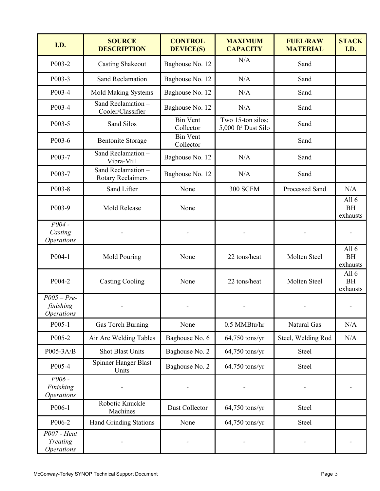| I.D.                                            | <b>SOURCE</b><br><b>DESCRIPTION</b>            | <b>CONTROL</b><br><b>DEVICE(S)</b> | <b>MAXIMUM</b><br><b>CAPACITY</b>                    | <b>FUEL/RAW</b><br><b>MATERIAL</b> | <b>STACK</b><br>I.D.             |
|-------------------------------------------------|------------------------------------------------|------------------------------------|------------------------------------------------------|------------------------------------|----------------------------------|
| P003-2                                          | <b>Casting Shakeout</b>                        | Baghouse No. 12                    | N/A                                                  | Sand                               |                                  |
| P003-3                                          | <b>Sand Reclamation</b>                        | Baghouse No. 12                    | N/A                                                  | Sand                               |                                  |
| P003-4                                          | <b>Mold Making Systems</b>                     | Baghouse No. 12                    | N/A                                                  | Sand                               |                                  |
| P003-4                                          | Sand Reclamation -<br>Cooler/Classifier        | Baghouse No. 12                    | N/A                                                  | Sand                               |                                  |
| P003-5                                          | Sand Silos                                     | <b>Bin Vent</b><br>Collector       | Two 15-ton silos;<br>5,000 ft <sup>3</sup> Dust Silo | Sand                               |                                  |
| P003-6                                          | <b>Bentonite Storage</b>                       | <b>Bin Vent</b><br>Collector       |                                                      | Sand                               |                                  |
| P003-7                                          | Sand Reclamation-<br>Vibra-Mill                | Baghouse No. 12                    | N/A                                                  | Sand                               |                                  |
| P003-7                                          | Sand Reclamation -<br><b>Rotary Reclaimers</b> | Baghouse No. 12                    | N/A                                                  | Sand                               |                                  |
| P003-8                                          | Sand Lifter                                    | None                               | 300 SCFM                                             | Processed Sand                     | N/A                              |
| P003-9                                          | Mold Release                                   | None                               |                                                      |                                    | All $6$<br><b>BH</b><br>exhausts |
| $P004 -$<br>Casting<br><i><b>Operations</b></i> |                                                |                                    |                                                      |                                    |                                  |
| P004-1                                          | Mold Pouring                                   | None                               | 22 tons/heat                                         | Molten Steel                       | All 6<br><b>BH</b><br>exhausts   |
| P004-2                                          | <b>Casting Cooling</b>                         | None                               | 22 tons/heat                                         | Molten Steel                       | All $6$<br><b>BH</b><br>exhausts |
| $P005 - Pre-$<br>finishing<br><b>Operations</b> |                                                |                                    |                                                      |                                    |                                  |
| P005-1                                          | Gas Torch Burning                              | None                               | 0.5 MMBtu/hr                                         | Natural Gas                        | N/A                              |
| P005-2                                          | Air Arc Welding Tables                         | Baghouse No. 6                     | $64,750$ tons/yr                                     | Steel, Welding Rod                 | N/A                              |
| P005-3A/B                                       | <b>Shot Blast Units</b>                        | Baghouse No. 2                     | 64,750 tons/yr                                       | Steel                              |                                  |
| P005-4                                          | <b>Spinner Hanger Blast</b><br>Units           | Baghouse No. 2                     | 64.750 tons/yr                                       | Steel                              |                                  |
| $P006 -$<br>Finishing<br><b>Operations</b>      |                                                |                                    |                                                      |                                    |                                  |
| P006-1                                          | Robotic Knuckle<br>Machines                    | Dust Collector                     | 64,750 tons/yr                                       | Steel                              |                                  |
| P006-2                                          | <b>Hand Grinding Stations</b>                  | None                               | 64,750 tons/yr                                       | Steel                              |                                  |
| $P007 - Heat$<br>Treating<br><b>Operations</b>  |                                                |                                    |                                                      |                                    |                                  |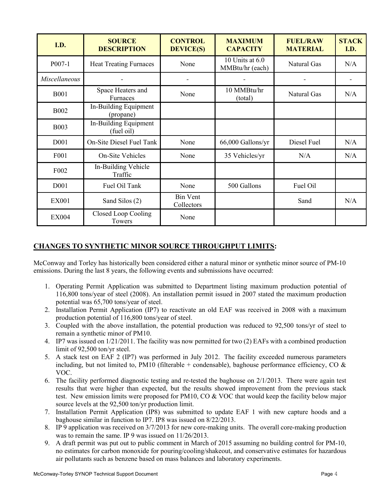| I.D.                 | <b>SOURCE</b><br><b>DESCRIPTION</b> | <b>CONTROL</b><br><b>DEVICE(S)</b> | <b>MAXIMUM</b><br><b>CAPACITY</b>  | <b>FUEL/RAW</b><br><b>MATERIAL</b> | <b>STACK</b><br>I.D. |
|----------------------|-------------------------------------|------------------------------------|------------------------------------|------------------------------------|----------------------|
| $P007-1$             | <b>Heat Treating Furnaces</b>       | None                               | 10 Units at 6.0<br>MMBtu/hr (each) | Natural Gas                        | N/A                  |
| <i>Miscellaneous</i> |                                     |                                    |                                    |                                    |                      |
| <b>B001</b>          | Space Heaters and<br>Furnaces       | None                               | 10 MMBtu/hr<br>(total)             | <b>Natural Gas</b>                 | N/A                  |
| <b>B002</b>          | In-Building Equipment<br>(propane)  |                                    |                                    |                                    |                      |
| <b>B003</b>          | In-Building Equipment<br>(fuel oil) |                                    |                                    |                                    |                      |
| D <sub>001</sub>     | On-Site Diesel Fuel Tank            | None                               | 66,000 Gallons/yr                  | Diesel Fuel                        | N/A                  |
| F <sub>001</sub>     | <b>On-Site Vehicles</b>             | None                               | 35 Vehicles/yr                     | N/A                                | N/A                  |
| F <sub>002</sub>     | In-Building Vehicle<br>Traffic      |                                    |                                    |                                    |                      |
| D001                 | Fuel Oil Tank                       | None                               | 500 Gallons                        | Fuel Oil                           |                      |
| <b>EX001</b>         | Sand Silos (2)                      | <b>Bin Vent</b><br>Collectors      |                                    | Sand                               | N/A                  |
| <b>EX004</b>         | Closed Loop Cooling<br>Towers       | None                               |                                    |                                    |                      |

# CHANGES TO SYNTHETIC MINOR SOURCE THROUGHPUT LIMITS:

McConway and Torley has historically been considered either a natural minor or synthetic minor source of PM-10 emissions. During the last 8 years, the following events and submissions have occurred:

- 1. Operating Permit Application was submitted to Department listing maximum production potential of 116,800 tons/year of steel (2008). An installation permit issued in 2007 stated the maximum production potential was 65,700 tons/year of steel.
- 2. Installation Permit Application (IP7) to reactivate an old EAF was received in 2008 with a maximum production potential of 116,800 tons/year of steel.
- 3. Coupled with the above installation, the potential production was reduced to 92,500 tons/yr of steel to remain a synthetic minor of PM10.
- 4. IP7 was issued on 1/21/2011. The facility was now permitted for two (2) EAFs with a combined production limit of 92,500 ton/yr steel.
- 5. A stack test on EAF 2 (IP7) was performed in July 2012. The facility exceeded numerous parameters including, but not limited to, PM10 (filterable + condensable), baghouse performance efficiency, CO  $\&$ VOC.
- 6. The facility performed diagnostic testing and re-tested the baghouse on 2/1/2013. There were again test results that were higher than expected, but the results showed improvement from the previous stack test. New emission limits were proposed for PM10, CO  $&$  VOC that would keep the facility below major source levels at the 92,500 ton/yr production limit.
- 7. Installation Permit Application (IP8) was submitted to update EAF 1 with new capture hoods and a baghouse similar in function to IP7. IP8 was issued on 8/22/2013.
- 8. IP 9 application was received on 3/7/2013 for new core-making units. The overall core-making production was to remain the same. IP 9 was issued on 11/26/2013.
- 9. A draft permit was put out to public comment in March of 2015 assuming no building control for PM-10, no estimates for carbon monoxide for pouring/cooling/shakeout, and conservative estimates for hazardous air pollutants such as benzene based on mass balances and laboratory experiments.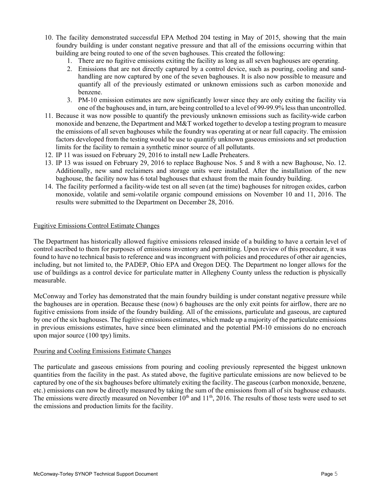- 10. The facility demonstrated successful EPA Method 204 testing in May of 2015, showing that the main foundry building is under constant negative pressure and that all of the emissions occurring within that building are being routed to one of the seven baghouses. This created the following:
	- 1. There are no fugitive emissions exiting the facility as long as all seven baghouses are operating.
	- 2. Emissions that are not directly captured by a control device, such as pouring, cooling and sandhandling are now captured by one of the seven baghouses. It is also now possible to measure and quantify all of the previously estimated or unknown emissions such as carbon monoxide and benzene.
	- 3. PM-10 emission estimates are now significantly lower since they are only exiting the facility via one of the baghouses and, in turn, are being controlled to a level of 99-99.9% less than uncontrolled.
- 11. Because it was now possible to quantify the previously unknown emissions such as facility-wide carbon monoxide and benzene, the Department and  $M&T$  worked together to develop a testing program to measure the emissions of all seven baghouses while the foundry was operating at or near full capacity. The emission factors developed from the testing would be use to quantify unknown gaseous emissions and set production limits for the facility to remain a synthetic minor source of all pollutants.
- 12. IP 11 was issued on February 29, 2016 to install new Ladle Preheaters.
- 13. IP 13 was issued on February 29, 2016 to replace Baghouse Nos. 5 and 8 with a new Baghouse, No. 12. Additionally, new sand reclaimers and storage units were installed. After the installation of the new baghouse, the facility now has 6 total baghouses that exhaust from the main foundry building.
- 14. The facility performed a facility-wide test on all seven (at the time) baghouses for nitrogen oxides, carbon monoxide, volatile and semi-volatile organic compound emissions on November 10 and 11, 2016. The results were submitted to the Department on December 28, 2016.

#### Fugitive Emissions Control Estimate Changes

The Department has historically allowed fugitive emissions released inside of a building to have a certain level of control ascribed to them for purposes of emissions inventory and permitting. Upon review of this procedure, it was found to have no technical basis to reference and was incongruent with policies and procedures of other air agencies, including, but not limited to, the PADEP, Ohio EPA and Oregon DEQ. The Department no longer allows for the use of buildings as a control device for particulate matter in Allegheny County unless the reduction is physically measurable.

McConway and Torley has demonstrated that the main foundry building is under constant negative pressure while the baghouses are in operation. Because these (now) 6 baghouses are the only exit points for airflow, there are no fugitive emissions from inside of the foundry building. All of the emissions, particulate and gaseous, are captured by one of the six baghouses. The fugitive emissions estimates, which made up a majority of the particulate emissions in previous emissions estimates, have since been eliminated and the potential PM-10 emissions do no encroach upon major source (100 tpy) limits.

#### Pouring and Cooling Emissions Estimate Changes

The particulate and gaseous emissions from pouring and cooling previously represented the biggest unknown quantities from the facility in the past. As stated above, the fugitive particulate emissions are now believed to be captured by one of the six baghouses before ultimately exiting the facility. The gaseous (carbon monoxide, benzene, etc.) emissions can now be directly measured by taking the sum of the emissions from all of six baghouse exhausts. The emissions were directly measured on November  $10<sup>th</sup>$  and  $11<sup>th</sup>$ , 2016. The results of those tests were used to set the emissions and production limits for the facility.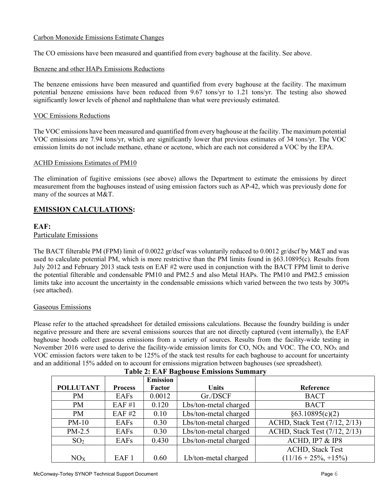# Carbon Monoxide Emissions Estimate Changes

The CO emissions have been measured and quantified from every baghouse at the facility. See above.

### Benzene and other HAPs Emissions Reductions

The benzene emissions have been measured and quantified from every baghouse at the facility. The maximum potential benzene emissions have been reduced from 9.67 tons/yr to 1.21 tons/yr. The testing also showed significantly lower levels of phenol and naphthalene than what were previously estimated.

### VOC Emissions Reductions

The VOC emissions have been measured and quantified from every baghouse at the facility. The maximum potential VOC emissions are 7.94 tons/yr, which are significantly lower that previous estimates of 34 tons/yr. The VOC emission limits do not include methane, ethane or acetone, which are each not considered a VOC by the EPA.

### ACHD Emissions Estimates of PM10

The elimination of fugitive emissions (see above) allows the Department to estimate the emissions by direct measurement from the baghouses instead of using emission factors such as AP-42, which was previously done for many of the sources at M&T.

# EMISSION CALCULATIONS:

# EAF:

### Particulate Emissions

The BACT filterable PM (FPM) limit of 0.0022 gr/dscf was voluntarily reduced to 0.0012 gr/dscf by M&T and was used to calculate potential PM, which is more restrictive than the PM limits found in §63.10895(c). Results from July 2012 and February 2013 stack tests on EAF #2 were used in conjunction with the BACT FPM limit to derive the potential filterable and condensable PM10 and PM2.5 and also Metal HAPs. The PM10 and PM2.5 emission limits take into account the uncertainty in the condensable emissions which varied between the two tests by 300% (see attached).

### Gaseous Emissions

Please refer to the attached spreadsheet for detailed emissions calculations. Because the foundry building is under negative pressure and there are several emissions sources that are not directly captured (vent internally), the EAF baghouse hoods collect gaseous emissions from a variety of sources. Results from the facility-wide testing in November 2016 were used to derive the facility-wide emission limits for  $CO$ ,  $NO<sub>X</sub>$  and  $VOC$ . The  $CO$ ,  $NO<sub>X</sub>$  and VOC emission factors were taken to be 125% of the stack test results for each baghouse to account for uncertainty and an additional 15% added on to account for emissions migration between baghouses (see spreadsheet).

|                  |                  | <b>Emission</b> |                       |                               |
|------------------|------------------|-----------------|-----------------------|-------------------------------|
| <b>POLLUTANT</b> | <b>Process</b>   | Factor          | <b>Units</b>          | Reference                     |
| PM               | EAFs             | 0.0012          | Gr./DSCF              | <b>BACT</b>                   |
| <b>PM</b>        | EAF #1           | 0.120           | Lbs/ton-metal charged | <b>BACT</b>                   |
| <b>PM</b>        | EAF #2           | 0.10            | Lbs/ton-metal charged | §63.10895(c)(2)               |
| $PM-10$          | EAFs             | 0.30            | Lbs/ton-metal charged | ACHD, Stack Test (7/12, 2/13) |
| $PM-2.5$         | EAFs             | 0.30            | Lbs/ton-metal charged | ACHD, Stack Test (7/12, 2/13) |
| SO <sub>2</sub>  | EAFs             | 0.430           | Lbs/ton-metal charged | ACHD, IP7 & IP8               |
|                  |                  |                 |                       | <b>ACHD, Stack Test</b>       |
| NO <sub>X</sub>  | EAF <sub>1</sub> | 0.60            | Lb/ton-metal charged  | $(11/16 + 25\%, +15\%)$       |

### Table 2: EAF Baghouse Emissions Summary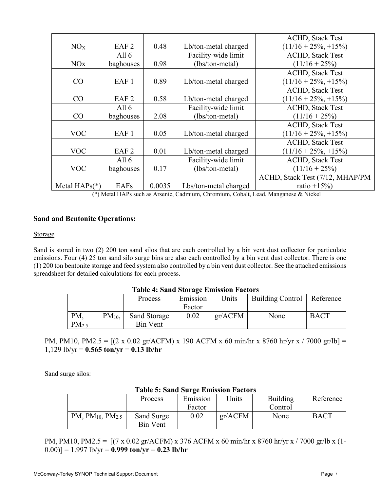|                 |                  |        |                       | <b>ACHD, Stack Test</b>         |
|-----------------|------------------|--------|-----------------------|---------------------------------|
| NO <sub>X</sub> | EAF <sub>2</sub> | 0.48   | Lb/ton-metal charged  | $(11/16 + 25\%, +15\%)$         |
|                 | All $6$          |        | Facility-wide limit   | <b>ACHD, Stack Test</b>         |
| NOx             | baghouses        | 0.98   | (lbs/ton-metal)       | $(11/16 + 25\%)$                |
|                 |                  |        |                       | <b>ACHD, Stack Test</b>         |
| CO              | EAF <sub>1</sub> | 0.89   | Lb/ton-metal charged  | $(11/16 + 25\%, +15\%)$         |
|                 |                  |        |                       | <b>ACHD, Stack Test</b>         |
| CO              | EAF <sub>2</sub> | 0.58   | Lb/ton-metal charged  | $(11/16 + 25\%, +15\%)$         |
|                 | All $6$          |        | Facility-wide limit   | <b>ACHD, Stack Test</b>         |
| CO              | baghouses        | 2.08   | (lbs/ton-metal)       | $(11/16 + 25\%)$                |
|                 |                  |        |                       | <b>ACHD, Stack Test</b>         |
| <b>VOC</b>      | EAF <sub>1</sub> | 0.05   | Lb/ton-metal charged  | $(11/16 + 25\%, +15\%)$         |
|                 |                  |        |                       | <b>ACHD, Stack Test</b>         |
| <b>VOC</b>      | EAF <sub>2</sub> | 0.01   | Lb/ton-metal charged  | $(11/16 + 25\%, +15\%)$         |
|                 | All $6$          |        | Facility-wide limit   | <b>ACHD, Stack Test</b>         |
| <b>VOC</b>      | baghouses        | 0.17   | (lbs/ton-metal)       | $(11/16 + 25\%)$                |
|                 |                  |        |                       | ACHD, Stack Test (7/12, MHAP/PM |
| Metal $HAPs(*)$ | EAFs             | 0.0035 | Lbs/ton-metal charged | ratio $+15\%$                   |

(\*) Metal HAPs such as Arsenic, Cadmium, Chromium, Cobalt, Lead, Manganese & Nickel

# Sand and Bentonite Operations:

#### **Storage**

Sand is stored in two (2) 200 ton sand silos that are each controlled by a bin vent dust collector for particulate emissions. Four (4) 25 ton sand silo surge bins are also each controlled by a bin vent dust collector. There is one (1) 200 ton bentonite storage and feed system also controlled by a bin vent dust collector. See the attached emissions spreadsheet for detailed calculations for each process.

### Table 4: Sand Storage Emission Factors

|            |           | Process         | Emission | Units   | <b>Building Control</b> | Reference   |
|------------|-----------|-----------------|----------|---------|-------------------------|-------------|
|            |           |                 | Factor   |         |                         |             |
| PM.        | $PM_{10}$ | Sand Storage    | 0.02     | gr/ACFM | None                    | <b>BACT</b> |
| $PM_{2.5}$ |           | <b>Bin Vent</b> |          |         |                         |             |

PM, PM10, PM2.5 =  $[(2 \times 0.02 \text{ gr/ACFM}) \times 190 \text{ ACFM} \times 60 \text{ min/hr} \times 8760 \text{ hr/yr} \times 7000 \text{ gr/lb}]$  = 1,129 lb/yr =  $0.565$  ton/yr =  $0.13$  lb/hr

Sand surge silos:

| Table 5: Sand Surge Emission Factors |            |          |         |                 |             |  |
|--------------------------------------|------------|----------|---------|-----------------|-------------|--|
|                                      | Process    | Emission | Units   | <b>Building</b> | Reference   |  |
|                                      |            | Factor   |         | Control         |             |  |
| $PM, PM_{10}, PM_{2.5}$              | Sand Surge | 0.02     | gr/ACFM | None            | <b>BACT</b> |  |
|                                      | Bin Vent   |          |         |                 |             |  |

# Table 5: Sand Surge Emission Factors

PM, PM10, PM2.5 =  $[(7 \times 0.02 \text{ gr/ACFM}) \times 376 \text{ ACFM} \times 60 \text{ min/hr} \times 8760 \text{ hr/yr} \times 7000 \text{ gr/lb} \times (1-\text{F/pc})]$  $(0.00)$ ] = 1.997 lb/yr = 0.999 ton/yr = 0.23 lb/hr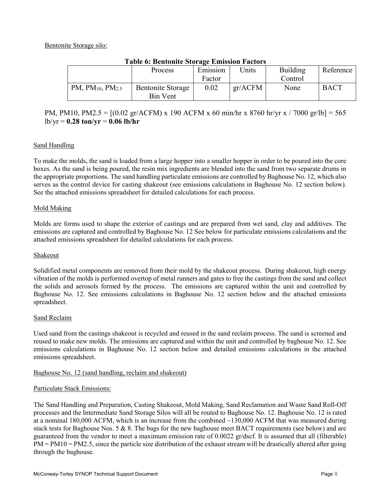# Bentonite Storage silo:

| Table 6: Bentonite Storage Emission Factors |                          |          |         |                 |             |  |
|---------------------------------------------|--------------------------|----------|---------|-----------------|-------------|--|
|                                             | <b>Process</b>           | Emission | Jnits   | <b>Building</b> | Reference   |  |
|                                             |                          | Factor   |         | Control         |             |  |
| PM, $PM_{10}$ , $PM_{2.5}$                  | <b>Bentonite Storage</b> | 0.02     | gr/ACFM | None            | <b>BACT</b> |  |
|                                             | Bin Vent                 |          |         |                 |             |  |

# Table 6: Bentonite Storage Emission Factors

# PM, PM10, PM2.5 =  $[(0.02 \text{ gr/ACFM}) \times 190 \text{ ACFM} \times 60 \text{ min/hr} \times 8760 \text{ hr/yr} \times 7000 \text{ gr/lb}] = 565$  $lb/yr = 0.28$  ton/yr = 0.06 lb/hr

# Sand Handling

To make the molds, the sand is loaded from a large hopper into a smaller hopper in order to be poured into the core boxes. As the sand is being poured, the resin mix ingredients are blended into the sand from two separate drums in the appropriate proportions. The sand handling particulate emissions are controlled by Baghouse No. 12, which also serves as the control device for casting shakeout (see emissions calculations in Baghouse No. 12 section below). See the attached emissions spreadsheet for detailed calculations for each process.

# Mold Making

Molds are forms used to shape the exterior of castings and are prepared from wet sand, clay and additives. The emissions are captured and controlled by Baghouse No. 12 See below for particulate emissions calculations and the attached emissions spreadsheet for detailed calculations for each process.

### Shakeout

Solidified metal components are removed from their mold by the shakeout process. During shakeout, high energy vibration of the molds is performed overtop of metal runners and gates to free the castings from the sand and collect the solids and aerosols formed by the process. The emissions are captured within the unit and controlled by Baghouse No. 12. See emissions calculations in Baghouse No. 12 section below and the attached emissions spreadsheet.

### Sand Reclaim

Used sand from the castings shakeout is recycled and reused in the sand reclaim process. The sand is screened and reused to make new molds. The emissions are captured and within the unit and controlled by baghouse No. 12. See emissions calculations in Baghouse No. 12 section below and detailed emissions calculations in the attached emissions spreadsheet.

### Baghouse No. 12 (sand handling, reclaim and shakeout)

### Particulate Stack Emissions:

The Sand Handling and Preparation, Casting Shakeout, Mold Making, Sand Reclamation and Waste Sand Roll-Off processes and the Intermediate Sand Storage Silos will all be routed to Baghouse No. 12. Baghouse No. 12 is rated at a nominal 180,000 ACFM, which is an increase from the combined ~130,000 ACFM that was measured during stack tests for Baghouse Nos. 5 & 8. The bags for the new baghouse meet BACT requirements (see below) and are guaranteed from the vendor to meet a maximum emission rate of 0.0022 gr/dscf. It is assumed that all (filterable)  $PM = PM10 = PM2.5$ , since the particle size distribution of the exhaust stream will be drastically altered after going through the baghouse.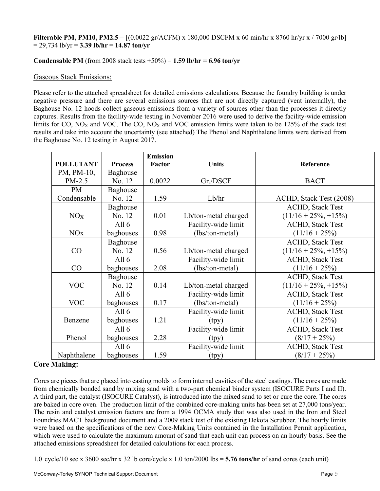### **Filterable PM, PM10, PM2.5** =  $[(0.0022 \text{ gr/ACFM}) \times 180,000 \text{ DSCFM } \times 60 \text{ min/hr } \times 8760 \text{ hr/yr } \times /7000 \text{ gr/lb}]$  $= 29,734$  lb/yr  $= 3.39$  lb/hr  $= 14.87$  ton/yr

# Condensable PM (from 2008 stack tests  $+50\%$ ) = 1.59 lb/hr = 6.96 ton/yr

### Gaseous Stack Emissions:

Please refer to the attached spreadsheet for detailed emissions calculations. Because the foundry building is under negative pressure and there are several emissions sources that are not directly captured (vent internally), the Baghouse No. 12 hoods collect gaseous emissions from a variety of sources other than the processes it directly captures. Results from the facility-wide testing in November 2016 were used to derive the facility-wide emission limits for CO,  $NO<sub>X</sub>$  and VOC. The CO,  $NO<sub>X</sub>$  and VOC emission limits were taken to be 125% of the stack test results and take into account the uncertainty (see attached) The Phenol and Naphthalene limits were derived from the Baghouse No. 12 testing in August 2017.

|                       |                 | <b>Emission</b> |                      |                         |
|-----------------------|-----------------|-----------------|----------------------|-------------------------|
| <b>POLLUTANT</b>      | <b>Process</b>  | Factor          | <b>Units</b>         | Reference               |
| PM, PM-10,            | Baghouse        |                 |                      |                         |
| PM-2.5                | No. 12          | 0.0022          | Gr./DSCF             | <b>BACT</b>             |
| <b>PM</b>             | <b>Baghouse</b> |                 |                      |                         |
| Condensable           | No. 12          | 1.59            | Lb/hr                | ACHD, Stack Test (2008) |
|                       | Baghouse        |                 |                      | <b>ACHD, Stack Test</b> |
| NO <sub>X</sub>       | No. 12          | 0.01            | Lb/ton-metal charged | $(11/16 + 25\%, +15\%)$ |
|                       | All $6$         |                 | Facility-wide limit  | <b>ACHD, Stack Test</b> |
| <b>NO<sub>x</sub></b> | baghouses       | 0.98            | (lbs/ton-metal)      | $(11/16 + 25\%)$        |
|                       | Baghouse        |                 |                      | <b>ACHD, Stack Test</b> |
| CO                    | No. 12          | 0.56            | Lb/ton-metal charged | $(11/16 + 25\%, +15\%)$ |
|                       | All $6$         |                 | Facility-wide limit  | <b>ACHD, Stack Test</b> |
| CO                    | baghouses       | 2.08            | (lbs/ton-metal)      | $(11/16 + 25\%)$        |
|                       | Baghouse        |                 |                      | <b>ACHD, Stack Test</b> |
| <b>VOC</b>            | No. 12          | 0.14            | Lb/ton-metal charged | $(11/16 + 25\%, +15\%)$ |
|                       | All $6$         |                 | Facility-wide limit  | <b>ACHD, Stack Test</b> |
| <b>VOC</b>            | baghouses       | 0.17            | (lbs/ton-metal)      | $(11/16 + 25\%)$        |
|                       | All $6$         |                 | Facility-wide limit  | <b>ACHD, Stack Test</b> |
| Benzene               | baghouses       | 1.21            | (tpy)                | $(11/16 + 25\%)$        |
|                       | All $6$         |                 | Facility-wide limit  | <b>ACHD, Stack Test</b> |
| Phenol                | baghouses       | 2.28            | (tpy)                | $(8/17 + 25\%)$         |
|                       | All $6$         |                 | Facility-wide limit  | <b>ACHD, Stack Test</b> |
| Naphthalene           | baghouses       | 1.59            | (tpy)                | $(8/17 + 25\%)$         |

# Core Making:

Cores are pieces that are placed into casting molds to form internal cavities of the steel castings. The cores are made from chemically bonded sand by mixing sand with a two-part chemical binder system (ISOCURE Parts I and II). A third part, the catalyst (ISOCURE Catalyst), is introduced into the mixed sand to set or cure the core. The cores are baked in core oven. The production limit of the combined core-making units has been set at 27,000 tons/year. The resin and catalyst emission factors are from a 1994 OCMA study that was also used in the Iron and Steel Foundries MACT background document and a 2009 stack test of the existing Dekota Scrubber. The hourly limits were based on the specifications of the new Core-Making Units contained in the Installation Permit application, which were used to calculate the maximum amount of sand that each unit can process on an hourly basis. See the attached emissions spreadsheet for detailed calculations for each process.

1.0 cycle/10 sec x 3600 sec/hr x 32 lb core/cycle x 1.0 ton/2000 lbs = 5.76 tons/hr of sand cores (each unit)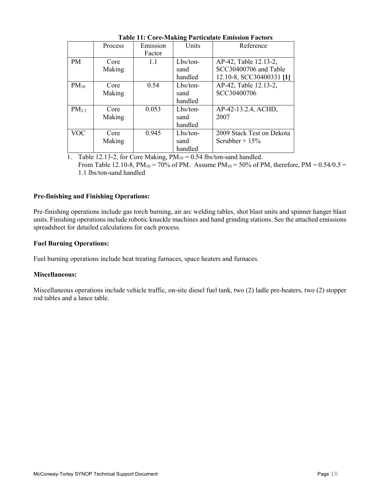|            | Process | Emission | Units      | Reference                 |
|------------|---------|----------|------------|---------------------------|
|            |         | Factor   |            |                           |
| <b>PM</b>  | Core    | 1.1      | Lbs/ton-   | AP-42, Table 12.13-2,     |
|            | Making  |          | sand       | SCC30400706 and Table     |
|            |         |          | handled    | 12.10-8, SCC30400331 [1]  |
| $PM_{10}$  | Core    | 0.54     | $Lbs/ton-$ | AP-42, Table 12.13-2,     |
|            | Making  |          | sand       | SCC30400706               |
|            |         |          | handled    |                           |
| $PM_{2.5}$ | Core    | 0.053    | $Lbs/ton-$ | AP-42-13.2.4, ACHD,       |
|            | Making  |          | sand       | 2007                      |
|            |         |          | handled    |                           |
| <b>VOC</b> | Core    | 0.945    | $Lbs/ton-$ | 2009 Stack Test on Dekota |
|            | Making  |          | sand       | Scrubber + $15\%$         |
|            |         |          | handled    |                           |

Table 11: Core-Making Particulate Emission Factors

1. Table 12.13-2, for Core Making,  $PM_{10} = 0.54$  lbs/ton-sand handled.

From Table 12.10-8,  $PM_{10} = 70\%$  of PM. Assume  $PM_{10} = 50\%$  of PM, therefore,  $PM = 0.54/0.5 =$ 1.1 lbs/ton-sand handled

# Pre-finishing and Finishing Operations:

Pre-finishing operations include gas torch burning, air arc welding tables, shot blast units and spinner hanger blast units. Finishing operations include robotic knuckle machines and hand grinding stations. See the attached emissions spreadsheet for detailed calculations for each process.

### Fuel Burning Operations:

Fuel burning operations include heat treating furnaces, space heaters and furnaces.

### Miscellaneous:

Miscellaneous operations include vehicle traffic, on-site diesel fuel tank, two (2) ladle pre-heaters, two (2) stopper rod tables and a lance table.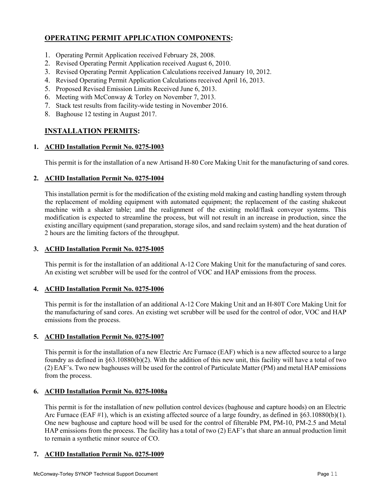# OPERATING PERMIT APPLICATION COMPONENTS:

- 1. Operating Permit Application received February 28, 2008.
- 2. Revised Operating Permit Application received August 6, 2010.
- 3. Revised Operating Permit Application Calculations received January 10, 2012.
- 4. Revised Operating Permit Application Calculations received April 16, 2013.
- 5. Proposed Revised Emission Limits Received June 6, 2013.
- 6. Meeting with McConway & Torley on November 7, 2013.
- 7. Stack test results from facility-wide testing in November 2016.
- 8. Baghouse 12 testing in August 2017.

# INSTALLATION PERMITS:

# 1. ACHD Installation Permit No. 0275-I003

This permit is for the installation of a new Artisand H-80 Core Making Unit for the manufacturing of sand cores.

# 2. ACHD Installation Permit No. 0275-I004

This installation permit is for the modification of the existing mold making and casting handling system through the replacement of molding equipment with automated equipment; the replacement of the casting shakeout machine with a shaker table; and the realignment of the existing mold/flask conveyor systems. This modification is expected to streamline the process, but will not result in an increase in production, since the existing ancillary equipment (sand preparation, storage silos, and sand reclaim system) and the heat duration of 2 hours are the limiting factors of the throughput.

# 3. ACHD Installation Permit No. 0275-I005

This permit is for the installation of an additional A-12 Core Making Unit for the manufacturing of sand cores. An existing wet scrubber will be used for the control of VOC and HAP emissions from the process.

# 4. ACHD Installation Permit No. 0275-I006

This permit is for the installation of an additional A-12 Core Making Unit and an H-80T Core Making Unit for the manufacturing of sand cores. An existing wet scrubber will be used for the control of odor, VOC and HAP emissions from the process.

# 5. ACHD Installation Permit No. 0275-I007

This permit is for the installation of a new Electric Arc Furnace (EAF) which is a new affected source to a large foundry as defined in  $\S 63.10880(b)(2)$ . With the addition of this new unit, this facility will have a total of two (2) EAF's. Two new baghouses will be used for the control of Particulate Matter (PM) and metal HAP emissions from the process.

### 6. ACHD Installation Permit No. 0275-I008a

This permit is for the installation of new pollution control devices (baghouse and capture hoods) on an Electric Arc Furnace (EAF #1), which is an existing affected source of a large foundry, as defined in §63.10880(b)(1). One new baghouse and capture hood will be used for the control of filterable PM, PM-10, PM-2.5 and Metal HAP emissions from the process. The facility has a total of two (2) EAF's that share an annual production limit to remain a synthetic minor source of CO.

### 7. ACHD Installation Permit No. 0275-I009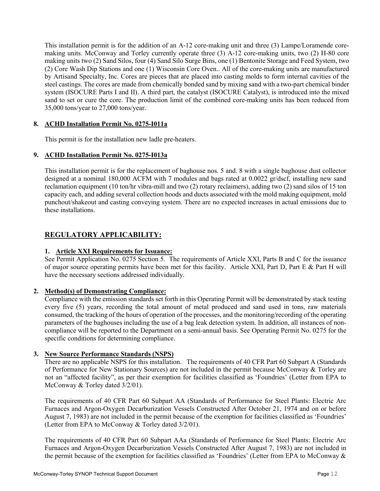This installation permit is for the addition of an A-12 core-making unit and three (3) Lampe/Loramende coremaking units. McConway and Torley currently operate three (3) A-12 core-making units, two (2) H-80 core making units two (2) Sand Silos, four (4) Sand Silo Surge Bins, one (1) Bentonite Storage and Feed System, two (2) Core Wash Dip Stations and one (1) Wisconsin Core Oven.. All of the core-making units are manufactured by Artisand Specialty, Inc. Cores are pieces that are placed into casting molds to form internal cavities of the steel castings. The cores are made from chemically bonded sand by mixing sand with a two-part chemical binder system (ISOCURE Parts I and II). A third part, the catalyst (ISOCURE Catalyst), is introduced into the mixed sand to set or cure the core. The production limit of the combined core-making units has been reduced from 35,000 tons/year to 27,000 tons/year.

# 8. ACHD Installation Permit No. 0275-I011a

This permit is for the installation new ladle pre-heaters.

# 9. ACHD Installation Permit No. 0275-I013a

This installation permit is for the replacement of baghouse nos. 5 and. 8 with a single baghouse dust collector designed at a nominal 180,000 ACFM with 7 modules and bags rated at 0.0022 gr/dscf, installing new sand reclamation equipment (10 ton/hr vibra-mill and two (2) rotary reclaimers), adding two (2) sand silos of 15 ton capacity each, and adding several collection hoods and ducts associated with the mold making equipment, mold punchout/shakeout and casting conveying system. There are no expected increases in actual emissions due to these installations.

# REGULATORY APPLICABILITY:

### 1. Article XXI Requirements for Issuance:

See Permit Application No. 0275 Section 5. The requirements of Article XXI, Parts B and C for the issuance of major source operating permits have been met for this facility. Article XXI, Part D, Part E & Part H will have the necessary sections addressed individually.

### 2. Method(s) of Demonstrating Compliance:

Compliance with the emission standards set forth in this Operating Permit will be demonstrated by stack testing every five (5) years, recording the total amount of metal produced and sand used in tons, raw materials consumed, the tracking of the hours of operation of the processes, and the monitoring/recording of the operating parameters of the baghouses including the use of a bag leak detection system. In addition, all instances of noncompliance will be reported to the Department on a semi-annual basis. See Operating Permit No. 0275 for the specific conditions for determining compliance.

### 3. New Source Performance Standards (NSPS)

There are no applicable NSPS for this installation. The requirements of 40 CFR Part 60 Subpart A (Standards of Performance for New Stationary Sources) are not included in the permit because McConway & Torley are not an "affected facility", as per their exemption for facilities classified as 'Foundries' (Letter from EPA to McConway & Torley dated 3/2/01).

The requirements of 40 CFR Part 60 Subpart AA (Standards of Performance for Steel Plants: Electric Arc Furnaces and Argon-Oxygen Decarburization Vessels Constructed After October 21, 1974 and on or before August 7, 1983) are not included in the permit because of the exemption for facilities classified as 'Foundries' (Letter from EPA to McConway & Torley dated 3/2/01).

The requirements of 40 CFR Part 60 Subpart AAa (Standards of Performance for Steel Plants: Electric Arc Furnaces and Argon-Oxygen Decarburization Vessels Constructed After August 7, 1983) are not included in the permit because of the exemption for facilities classified as 'Foundries' (Letter from EPA to McConway &